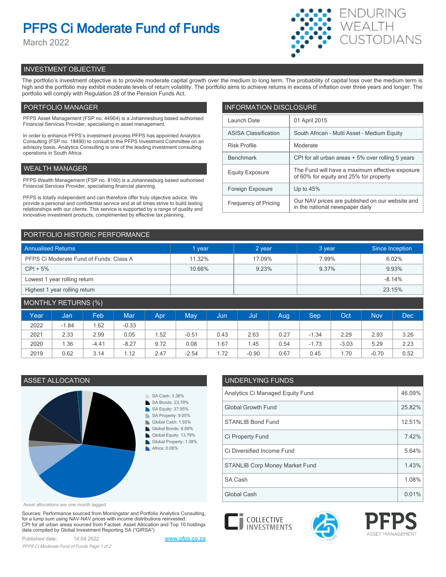# **PFPS Ci Moderate Fund of Funds**

March 2022



# INVESTMENT OBJECTIVE

The portfolio's investment objective is to provide moderate capital growth over the medium to long term. The probability of capital loss over the medium term is high and the portfolio may exhibit moderate levels of return volatility. The portfolio aims to achieve returns in excess of inflation over three years and longer. The portfolio will comply with Regulation 28 of the Pension Funds Act.

# PORTFOLIO MANAGER

PFPS Asset Management (FSP no. 44904) is a Johannesburg based authorised Financial Services Provider, specialising in asset management.

In order to enhance PFPS's investment process PFPS has appointed Analytics Consulting (FSP no. 18490) to consult to the PFPS Investment Committee on an advisory basis. Analytics Consulting is one of the leading investment consulting operations in South Africa.

# WEALTH MANAGER

PFPS Wealth Management (FSP no. 8160) is a Johannesburg based authorised Financial Services Provider, specialising financial planning.

PFPS is totally independent and can therefore offer truly objective advice. We provide a personal and confidential service and at all times strive to build lasting relationships with our clients. This service is supported by a range of quality and innovative investment products, complimented by effective tax planning.

| <b>INFORMATION DISCLOSURE</b> |                                                                                           |  |  |  |  |  |
|-------------------------------|-------------------------------------------------------------------------------------------|--|--|--|--|--|
| Launch Date                   | 01 April 2015                                                                             |  |  |  |  |  |
| <b>ASISA Classification</b>   | South African - Multi Asset - Medium Equity                                               |  |  |  |  |  |
| <b>Risk Profile</b>           | Moderate                                                                                  |  |  |  |  |  |
| <b>Benchmark</b>              | CPI for all urban areas + 5% over rolling 5 years                                         |  |  |  |  |  |
| <b>Equity Exposure</b>        | The Fund will have a maximum effective exposure<br>of 60% for equity and 25% for property |  |  |  |  |  |
| Foreign Exposure              | Up to $45%$                                                                               |  |  |  |  |  |
| <b>Frequency of Pricing</b>   | Our NAV prices are published on our website and<br>in the national newspaper daily        |  |  |  |  |  |

# PORTFOLIO HISTORIC PERFORMANCE

| <b>Annualised Returns</b>               | 1 vear | 2 year | 3 year | Since Inception |
|-----------------------------------------|--------|--------|--------|-----------------|
| PFPS Ci Moderate Fund of Funds: Class A | 11.32% | 17.09% | 7.99%  | 6.02%           |
| $CPI + 5%$                              | 10.66% | 9.23%  | 9.37%  | 9.93%           |
| Lowest 1 year rolling return            |        |        |        | $-8.14%$        |
| Highest 1 year rolling return           |        |        |        | 23.15%          |

| MONTHLY RETURNS (%) |         |         |            |      |         |      |         |      |         |         |            |      |
|---------------------|---------|---------|------------|------|---------|------|---------|------|---------|---------|------------|------|
| Year                | Jan     | Feb.    | <b>Mar</b> | Apr  | May     | Uun. | Jul     | Aug  | Sep     | Oct     | <b>Nov</b> | Dec  |
| 2022                | $-1.84$ | .62     | $-0.33$    |      |         |      |         |      |         |         |            |      |
| 2021                | 2.33    | 2.99    | 0.05       | 1.52 | $-0.51$ | 0.43 | 2.63    | 0.27 | $-1.34$ | 2.29    | 2.93       | 3.26 |
| 2020                | 1.36    | $-4.41$ | $-8.27$    | 9.72 | 0.08    | 67،، | 1.45    | 0.54 | $-1.73$ | $-3.03$ | 5.29       | 2.23 |
| 2019                | 0.62    | 3.14    | 1.12       | 2.47 | $-2.54$ | 1.72 | $-0.90$ | 0.67 | 0.45    | 70،،    | $-0.70$    | 0.52 |



Asset allocations are one month lagged

Sources: Performance sourced from Morningstar and Portfolio Analytics Consulting, for a lump sum using NAV-NAV prices with income distributions reinvested. CPI for all urban areas sourced from Factset. Asset Allocation and Top 10 holdings data compiled by Global Investment Reporting SA ("GIRSA")

Published date: 14.04.2022 [www.pfps.co.za](https://www.pfps.co.za/) *PFPS Ci Moderate Fund of Funds Page 1 of 2*